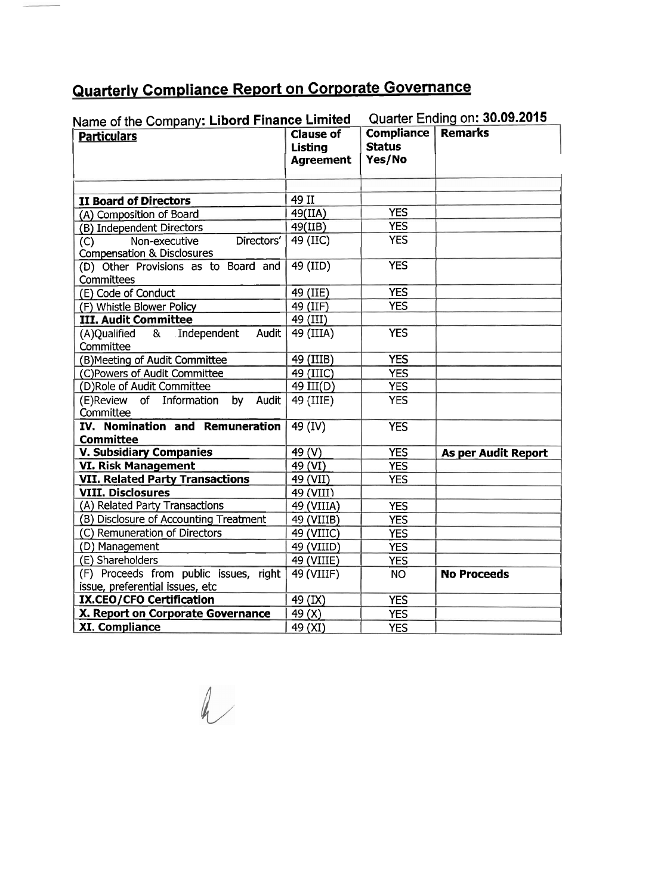## **Quarterly Compliance Report on Corporate Governance**

| Name of the Company: Libord Finance Limited                                 |                                                        | Quarter Ending on: 30.09.2015                |                     |
|-----------------------------------------------------------------------------|--------------------------------------------------------|----------------------------------------------|---------------------|
| <b>Particulars</b>                                                          | <b>Clause of</b><br><b>Listing</b><br><b>Agreement</b> | <b>Compliance</b><br><b>Status</b><br>Yes/No | <b>Remarks</b>      |
|                                                                             |                                                        |                                              |                     |
| <b>II Board of Directors</b>                                                | 49 II                                                  |                                              |                     |
| (A) Composition of Board                                                    | 49(IIA)                                                | <b>YES</b>                                   |                     |
| (B) Independent Directors                                                   | 49(IIB)                                                | <b>YES</b>                                   |                     |
| Directors'<br>Non-executive<br>(C)<br><b>Compensation &amp; Disclosures</b> | 49 (IIC)                                               | <b>YES</b>                                   |                     |
| (D) Other Provisions as to Board and<br>Committees                          | 49 (IID)                                               | <b>YES</b>                                   |                     |
| (E) Code of Conduct                                                         | 49 (IIE)                                               | <b>YES</b>                                   |                     |
| (F) Whistle Blower Policy                                                   | 49 (IIF)                                               | <b>YES</b>                                   |                     |
| <b>III. Audit Committee</b>                                                 | 49 (III)                                               |                                              |                     |
| (A)Qualified<br>Independent<br>&<br>Audit<br>Committee                      | 49 (IIIA)                                              | <b>YES</b>                                   |                     |
| (B) Meeting of Audit Committee                                              | 49 (IIIB)                                              | <b>YES</b>                                   |                     |
| (C)Powers of Audit Committee                                                | 49 (IIIC)                                              | <b>YES</b>                                   |                     |
| (D)Role of Audit Committee                                                  | 49 III(D)                                              | <b>YES</b>                                   |                     |
| (E)Review of Information<br>by<br>Audit<br>Committee                        | 49 (IIIE)                                              | <b>YES</b>                                   |                     |
| IV. Nomination and Remuneration<br><b>Committee</b>                         | 49 (IV)                                                | <b>YES</b>                                   |                     |
| <b>V. Subsidiary Companies</b>                                              | 49 (V)                                                 | <b>YES</b>                                   | As per Audit Report |
| <b>VI. Risk Management</b>                                                  | 49 (VI)                                                | <b>YES</b>                                   |                     |
| <b>VII. Related Party Transactions</b>                                      | 49 (VII)                                               | <b>YES</b>                                   |                     |
| <b>VIII. Disclosures</b>                                                    | 49 (VIII)                                              |                                              |                     |
| (A) Related Party Transactions                                              | 49 (VIIIA)                                             | <b>YES</b>                                   |                     |
| (B) Disclosure of Accounting Treatment                                      | 49 (VIIIB)                                             | <b>YES</b>                                   |                     |
| (C) Remuneration of Directors                                               | 49 (VIIIC)                                             | <b>YES</b>                                   |                     |
| (D) Management                                                              | 49 (VIIID)                                             | <b>YES</b>                                   |                     |
| (E) Shareholders                                                            | 49 (VIIIE)                                             | <b>YES</b>                                   |                     |
| (F) Proceeds from public issues, right<br>issue, preferential issues, etc   | $\overline{49}$ (VIIIF)                                | <b>NO</b>                                    | <b>No Proceeds</b>  |
| <b>IX.CEO/CFO Certification</b>                                             | 49 (IX)                                                | <b>YES</b>                                   |                     |
| X. Report on Corporate Governance                                           | 49 (X)                                                 | <b>YES</b>                                   |                     |
| <b>XI. Compliance</b>                                                       | 49 (XI)                                                | <b>YES</b>                                   |                     |

 $\sim$